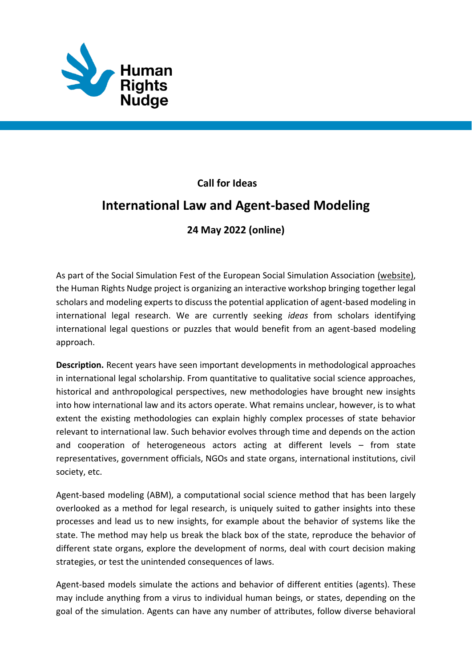

## **Call for Ideas**

## **International Law and Agent-based Modeling**

## **24 May 2022 (online)**

As part of the Social Simulation Fest of the European Social Simulation Association [\(website\),](https://www.socsimfest.eu/) th[e Human Rights Nudge project](https://www.humanrightsnudge.com/) is organizing an interactive workshop bringing together legal scholars and modeling experts to discuss the potential application of agent-based modeling in international legal research. We are currently seeking *ideas* from scholars identifying international legal questions or puzzles that would benefit from an agent-based modeling approach.

**Description.** Recent years have seen important developments in methodological approaches in international legal scholarship. From quantitative to qualitative social science approaches, historical and anthropological perspectives, new methodologies have brought new insights into how international law and its actors operate. What remains unclear, however, is to what extent the existing methodologies can explain highly complex processes of state behavior relevant to international law. Such behavior evolves through time and depends on the action and cooperation of heterogeneous actors acting at different levels – from state representatives, government officials, NGOs and state organs, international institutions, civil society, etc.

Agent-based modeling (ABM), a computational social science method that has been largely overlooked as a method for legal research, is uniquely suited to gather insights into these processes and lead us to new insights, for example about the behavior of systems like the state. The method may help us break the black box of the state, reproduce the behavior of different state organs, explore the development of norms, deal with court decision making strategies, or test the unintended consequences of laws.

Agent-based models simulate the actions and behavior of different entities (agents). These may include anything from a virus to individual human beings, or states, depending on the goal of the simulation. Agents can have any number of attributes, follow diverse behavioral